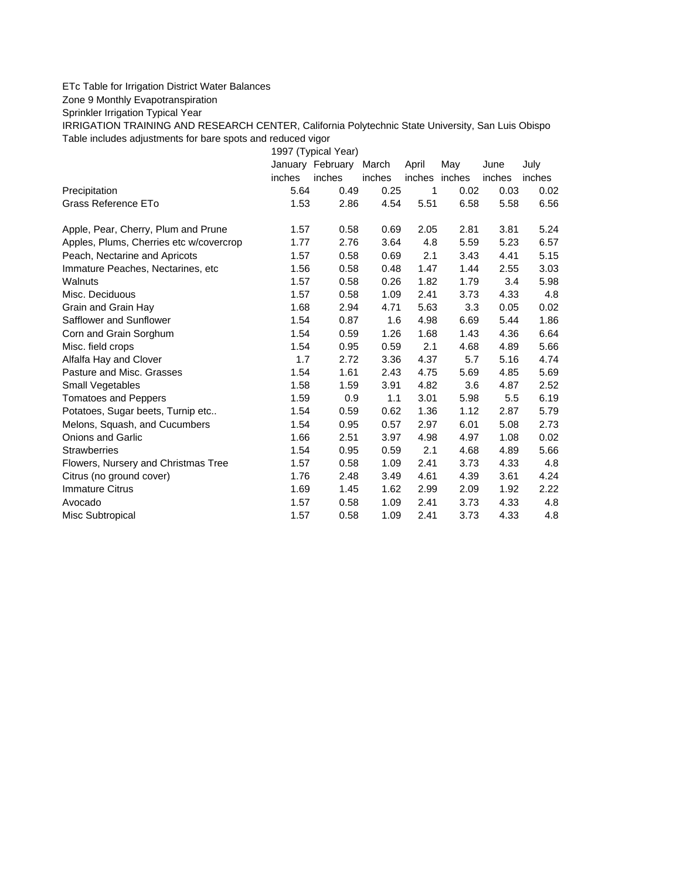## ETc Table for Irrigation District Water Balances

Zone 9 Monthly Evapotranspiration

Sprinkler Irrigation Typical Year

IRRIGATION TRAINING AND RESEARCH CENTER, California Polytechnic State University, San Luis Obispo Table includes adjustments for bare spots and reduced vigor

1997 (Typical Year) January February March April May June July inches inches inches inches inches inches inches Precipitation 5.64 0.49 0.25 1 0.02 0.03 0.02 Grass Reference ETo **1.53** 2.86 4.54 5.51 6.58 5.58 6.56 Apple, Pear, Cherry, Plum and Prune 1.57 0.58 0.69 2.05 2.81 3.81 5.24 Apples, Plums, Cherries etc w/covercrop  $1.77$  2.76 3.64 4.8 5.59 5.23 6.57 Peach, Nectarine and Apricots 1.57 0.58 0.69 2.1 3.43 4.41 5.15 Immature Peaches, Nectarines, etc 1.56 0.58 0.48 1.47 1.44 2.55 3.03 Walnuts 1.57 0.58 0.26 1.82 1.79 3.4 5.98 Misc. Deciduous 1.57 0.58 1.09 2.41 3.73 4.33 4.8 Grain and Grain Hay  $1.68$   $2.94$   $4.71$   $5.63$   $3.3$   $0.05$   $0.02$ Safflower and Sunflower 1.54 0.87 1.6 4.98 6.69 5.44 1.86 Corn and Grain Sorghum 1.54 0.59 1.26 1.68 1.43 4.36 6.64 Misc. field crops 1.54 0.95 0.59 2.1 4.68 4.89 5.66 Alfalfa Hay and Clover 1.7 2.72 3.36 4.37 5.7 5.16 4.74 Pasture and Misc. Grasses 1.54 1.61 2.43 4.75 5.69 4.85 5.69 Small Vegetables 1.58 1.59 3.91 4.82 3.6 4.87 2.52 Tomatoes and Peppers 1.59 0.9 1.1 3.01 5.98 5.5 6.19 Potatoes, Sugar beets, Turnip etc..  $1.54$  0.59 0.62 1.36 1.12 2.87 5.79 Melons, Squash, and Cucumbers 1.54 0.95 0.57 2.97 6.01 5.08 2.73 Onions and Garlic 1.66 2.51 3.97 4.98 4.97 1.08 0.02 Strawberries 1.54 0.95 0.59 2.1 4.68 4.89 5.66 Flowers, Nursery and Christmas Tree  $1.57$  0.58 1.09 2.41 3.73 4.33 4.8 Citrus (no ground cover) 1.76 2.48 3.49 4.61 4.39 3.61 4.24 Immature Citrus 1.69 1.45 1.62 2.99 2.09 1.92 2.22 Avocado 1.57 0.58 1.09 2.41 3.73 4.33 4.8 Misc Subtropical 1.57 0.58 1.09 2.41 3.73 4.33 4.8